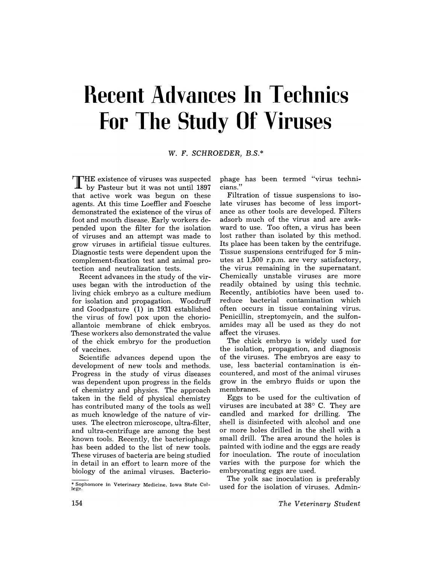# **Recent Advances In Technics For The Study Of Viruses**

## W. F. SCHROEDER, B.S. \*

THE existence of viruses was suspected  $\mathbf{\mathbf{\perp}}$  by Pasteur but it was not until 1897 that active work was begun on these agents. At this time Loeffler and Foesche demonstrated the existence of the virus of foot and mouth disease. Early workers depended upon the filter for the isolation of viruses and an attempt was made to grow viruses in artificial tissue cultures. Diagnostic tests were dependent upon the complement-fixation test and animal protection and neutralization tests.

Recent advances in the study of the viruses began with the introduction of the living chick embryo as a culture medium for isolation and propagation. Woodruff and Goodpasture (1) in 1931 established the virus of fowl pox upon the chorioallantoic membrane of chick embryos. These workers also demonstrated the value of the chick embryo for the production of vaccines.

Scientific advances depend upon the development of new tools and methods. Progress in the study of virus diseases was dependent upon progress in the fields of chemistry and physics. The approach taken in the field of physical chemistry has contributed many of the tools as well as much knowledge of the nature of viruses. The electron microscope, ultra-filter, and ultra-centrifuge are among the best known tools. Recently, the bacteriophage has been added to the list of new tools. These viruses of bacteria are being studied in detail in an effort to learn more of the biology of the animal viruses. Bacteriophage has been termed "virus technicians."

Filtration of tissue suspensions to isolate viruses has become of less importance as other tools are developed. Filters adsorb much of the virus and are awkward to use. Too often, a virus has been lost rather than isolated by this method. Its place has been taken by the centrifuge. Tissue suspensions centrifuged for 5 minutes at 1,500 r.p.m. are very satisfactory, the virus remaining in the supernatant. Chemically unstable viruses are more readily obtained by using this technic. Recently, antibiotics have been used to. reduce bacterial contamination which often occurs in tissue containing virus. Penicillin, streptomycin, and the sulfonamides may all be used as they do not affect the viruses.

The chick embryo is widely used for the isolation, propagation, and diagnosis of the viruses. The embryos are easy to use, less bacterial contamination is encountered, and most of the animal viruses grow in the embryo fluids or upon the membranes.

Eggs to be used for the cultivation of viruses are incubated at 38° C. They are candled and marked for drilling. The shell is disinfected with alcohol and one or more holes drilled in the shell with a small drill. The area around the holes is painted with iodine and the eggs are ready for inoculation, The route of inoculation varies with the purpose for which the embryonating eggs are used.

The yolk sac inoculation is preferably used for the isolation of viruses. Admin-

<sup>•</sup> Sophomore in Veterinary Medicine, Iowa State College.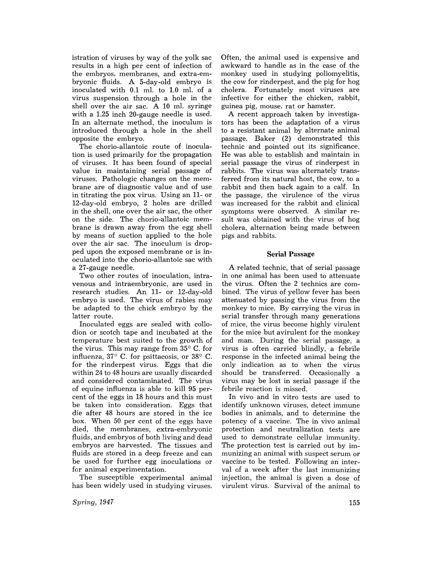istration of viruses by way of the yolk sac results in a high per cent of infection of the embryos, membranes, and extra-embryonic fluids. A 5-day-old embryo is inoculated with 0.1 ml. to 1.0 ml. of a virus suspension through a hole in the shell over the air sac. A 10 ml. syringe with a 1.25 inch 20-gauge needle is used. In an alternate method, the inoculum is introduced through a hole in the shell opposite the embryo.

The chorio-allantoic route of inoculation is used primarily for the propagation of viruses. It has been found of special value in maintaining serial passage of viruses. Pathologic changes on the membrane are of diagnostic value and of use in titrating the pox virus. Using an 11- or 12-day-old embryo, 2 holes are drilled in the shell, one over the air sac, the other on the side. The chorio-allantoic membrane is drawn away from the egg shell by means of suction applied to the hole over the air sac. The inoculum is dropped upon the exposed membrane or is inoculated into the chorio-allantoic sac with a 27-gauge needle.

Two other routes of inoculation, intravenous and intraembryonic, are used in research studies. An 11- or 12-day-old embryo is used. The virus of rabies may be adapted to the chick embryo by the latter route.

Inoculated eggs are sealed with collodion or scotch tape and incubated at the temperature best suited to the growth of the virus. This may range from  $35^{\circ}$  C. for influenza,  $37^{\circ}$  C. for psittacosis, or  $38^{\circ}$  C. for the rinderpest virus. Eggs that die within 24 to 48 hours are usually discarded and considered contaminated. The virus of equine influenza is able to kill 95 percent of the eggs in 18 hours and this must be taken into consideration. Eggs that die after 48 hours are stored in the ice box. When 50 per cent of the eggs have died, the membranes, extra-embryonic fluids, and embryos of both living and dead embryos are harvested. The tissues and fluids are stored in a deep freeze and can be used for further egg inoculations or for animal experimentation.

The susceptible experimental animal has been widely used in studying viruses.

*Spring, 1947* 

Often, the animal used is expensive and awkward to handle as in the case of the monkey used in studying poliomyelitis, the cow for rinderpest, and the pig for hog cholera. Fortunately most viruses are infective for either the chicken, rabbit, guinea pig, mouse, rat or hamster.

A recent approach taken by investigators has been the adaptation of a virus to a resistant animal by alternate animal passage. Baker (2) demonstrated this technic and pointed out its significance. He was able to establish and maintain in serial passage the virus of rinderpest in rabbits. The virus was alternately transferred from its natural host, the cow, to a rabbit and then back again to a calf. In the passage, the virulence of the virus was increased for the rabbit and clinical symptoms were observed. A similar result was obtained with the virus of hog cholera, alternation being made between pigs and rabbits.

### Serial Passage

A related technic, that of serial passage in one animal has been used to attenuate the virus. Often the 2 technics are combined. The virus of yellow fever has been attenuated by passing the virus from the monkey to mice. By carrying the virus in serial transfer through many generations of mice, the virus become highly virulent for the mice but avirulent for the monkey and man. During the serial passage, a virus is often carried blindly, a febrile response in the infected animal being the only indication as to when the virus should be transferred. Occasionally a virus may be lost in serial passage if the febrile reaction is missed.

In vivo and in vitro tests are used to identify unknown viruses, detect immune bodies in animals, and to determine the potency of a vaccine. The in vivo animal protection and neutralization tests are used to demonstrate cellular immunity. The protection test is carried out by immunizing an animal with suspect serum or vaccine to be tested. Following an interval of a week after the last immunizing injection, the animal is given a dose of virulent virus. Survival of the animal to